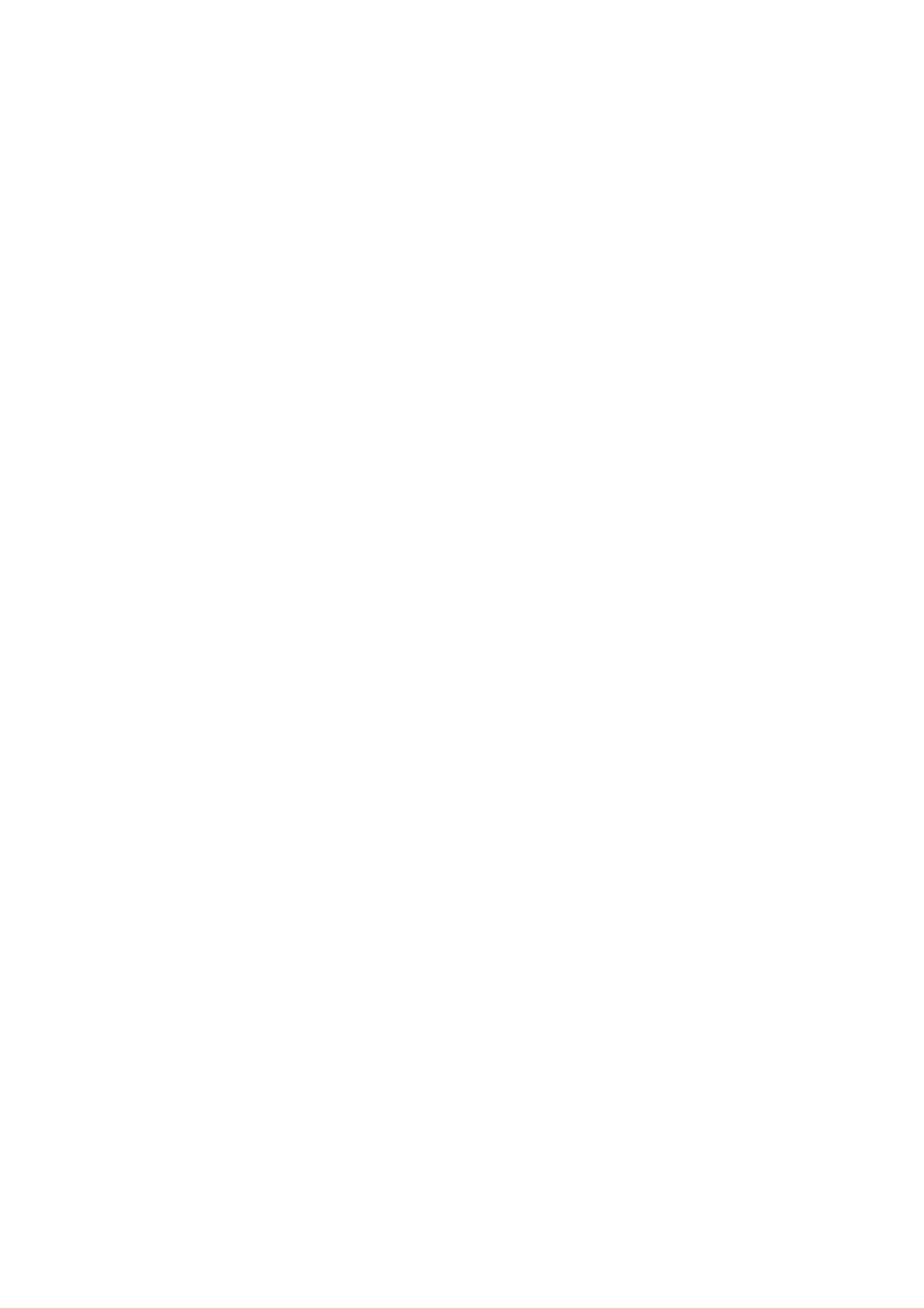





## **Algorithmic Regulation**

**Leighton Andrews, Bilel Benbouzid, Jeremy Brice, Lee A. Bygrave, David Demortain, Alex Griffiths, Martin Lodge, Andrea Mennicken, Karen Yeung**



THE LONDON SCHOOL OF ECONOMICS AND **POLITICAL SCIENCE** 

**DISCUSSION PAPER No: 85 DATE: September 2017**